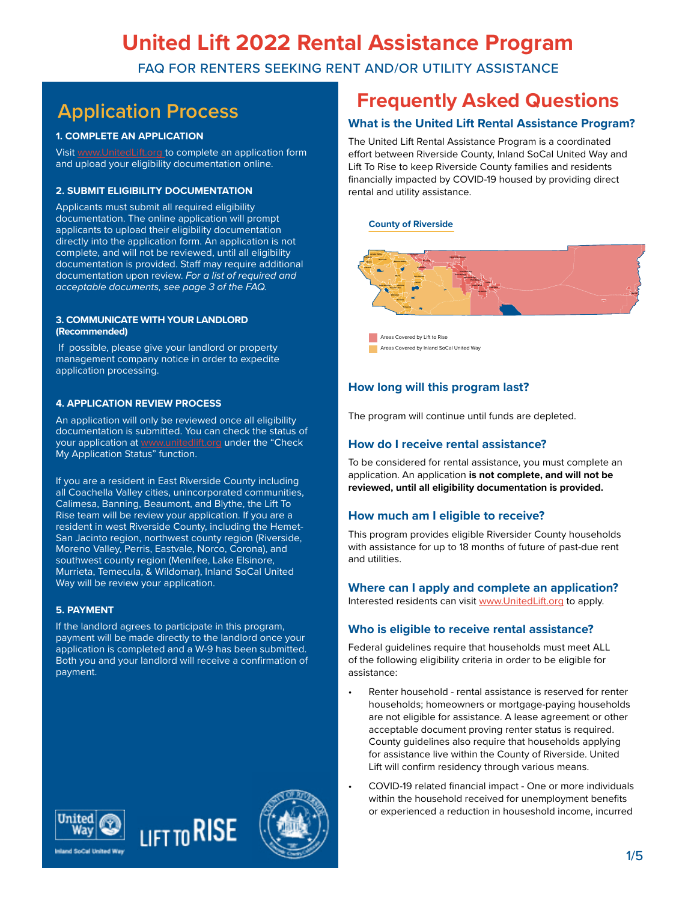FAQ FOR RENTERS SEEKING RENT AND/OR UTILITY ASSISTANCE

#### **1. COMPLETE AN APPLICATION**

Visit [www.UnitedLift.org t](http://www.UnitedLift.org )o complete an application form and upload your eligibility documentation online.

#### **2. SUBMIT ELIGIBILITY DOCUMENTATION**

Applicants must submit all required eligibility documentation. The online application will prompt applicants to upload their eligibility documentation directly into the application form. An application is not complete, and will not be reviewed, until all eligibility documentation is provided. Staff may require additional documentation upon review. *For a list of required and acceptable documents, see page 3 of the FAQ.*

#### **3. COMMUNICATE WITH YOUR LANDLORD (Recommended)**

 If possible, please give your landlord or property management company notice in order to expedite application processing.

#### **4. APPLICATION REVIEW PROCESS**

An application will only be reviewed once all eligibility documentation is submitted. You can check the status of your application at [www.unitedlift.org](http://www.unitedlift.org) under the "Check My Application Status" function.

If you are a resident in East Riverside County including all Coachella Valley cities, unincorporated communities, Calimesa, Banning, Beaumont, and Blythe, the Lift To Rise team will be review your application. If you are a resident in west Riverside County, including the Hemet-San Jacinto region, northwest county region (Riverside, Moreno Valley, Perris, Eastvale, Norco, Corona), and southwest county region (Menifee, Lake Elsinore, Murrieta, Temecula, & Wildomar), Inland SoCal United Way will be review your application.

#### **5. PAYMENT**

If the landlord agrees to participate in this program, payment will be made directly to the landlord once your application is completed and a W-9 has been submitted. Both you and your landlord will receive a confirmation of payment.

# **Application Process Frequently Asked Questions**

#### **What is the United Lift Rental Assistance Program?**

The United Lift Rental Assistance Program is a coordinated effort between Riverside County, Inland SoCal United Way and Lift To Rise to keep Riverside County families and residents financially impacted by COVID-19 housed by providing direct rental and utility assistance.

#### **County of Riverside**



Areas Covered by Lift to Rise Areas Covered by Inland SoCal United Way

#### **How long will this program last?**

The program will continue until funds are depleted.

#### **How do I receive rental assistance?**

To be considered for rental assistance, you must complete an application. An application **is not complete, and will not be reviewed, until all eligibility documentation is provided.**

#### **How much am I eligible to receive?**

This program provides eligible Riversider County households with assistance for up to 18 months of future of past-due rent and utilities.

### **Where can I apply and complete an application?**

Interested residents can visit [www.UnitedLift.org](http://www.UnitedLift.org) to apply.

#### **Who is eligible to receive rental assistance?**

Federal guidelines require that households must meet ALL of the following eligibility criteria in order to be eligible for assistance:

- Renter household rental assistance is reserved for renter households; homeowners or mortgage-paying households are not eligible for assistance. A lease agreement or other acceptable document proving renter status is required. County guidelines also require that households applying for assistance live within the County of Riverside. United Lift will confirm residency through various means.
- COVID-19 related financial impact One or more individuals within the household received for unemployment benefits or experienced a reduction in houseshold income, incurred





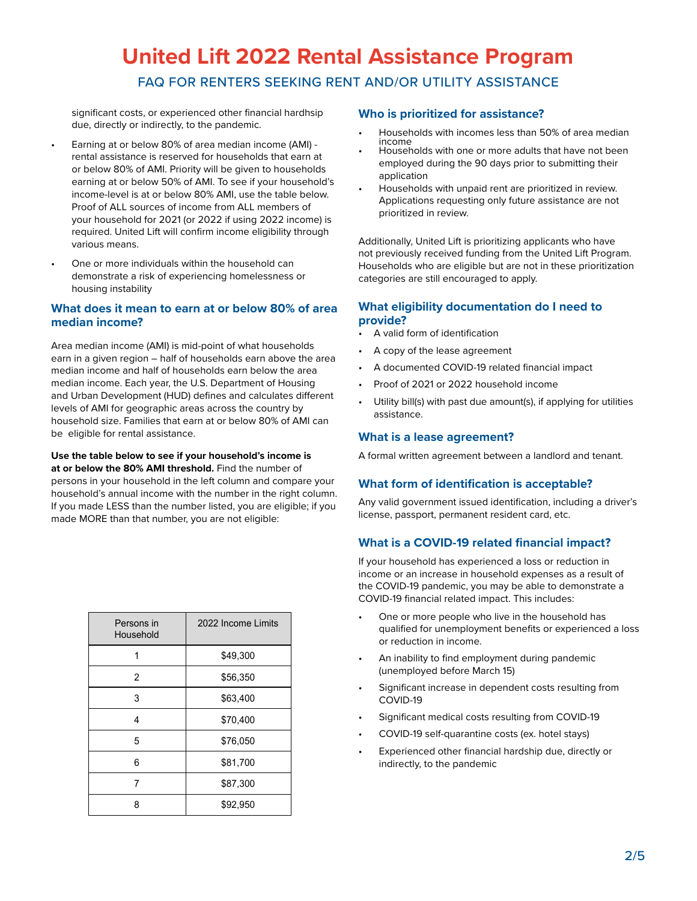FAQ FOR RENTERS SEEKING RENT AND/OR UTILITY ASSISTANCE

significant costs, or experienced other financial hardhsip due, directly or indirectly, to the pandemic.

- Earning at or below 80% of area median income (AMI) rental assistance is reserved for households that earn at or below 80% of AMI. Priority will be given to households earning at or below 50% of AMI. To see if your household's income-level is at or below 80% AMI, use the table below. Proof of ALL sources of income from ALL members of your household for 2021 (or 2022 if using 2022 income) is required. United Lift will confirm income eligibility through various means.
- One or more individuals within the household can demonstrate a risk of experiencing homelessness or housing instability

#### **What does it mean to earn at or below 80% of area median income?**

Area median income (AMI) is mid-point of what households earn in a given region – half of households earn above the area median income and half of households earn below the area median income. Each year, the U.S. Department of Housing and Urban Development (HUD) defines and calculates different levels of AMI for geographic areas across the country by household size. Families that earn at or below 80% of AMI can be eligible for rental assistance.

#### **Use the table below to see if your household's income is at or below the 80% AMI threshold.** Find the number of

persons in your household in the left column and compare your household's annual income with the number in the right column. If you made LESS than the number listed, you are eligible; if you made MORE than that number, you are not eligible:

| Persons in<br>Household | 2022 Income Limits |
|-------------------------|--------------------|
| 1                       | \$49,300           |
| $\overline{2}$          | \$56,350           |
| 3                       | \$63,400           |
| 4                       | \$70,400           |
| 5                       | \$76,050           |
| 6                       | \$81,700           |
| 7                       | \$87,300           |
| 8                       | \$92,950           |

#### **Who is prioritized for assistance?**

- Households with incomes less than 50% of area median
- Households with one or more adults that have not been employed during the 90 days prior to submitting their application
- Households with unpaid rent are prioritized in review. Applications requesting only future assistance are not prioritized in review.

Additionally, United Lift is prioritizing applicants who have not previously received funding from the United Lift Program. Households who are eligible but are not in these prioritization categories are still encouraged to apply.

#### **What eligibility documentation do I need to provide?**

- A valid form of identification
- A copy of the lease agreement
- A documented COVID-19 related financial impact
- Proof of 2021 or 2022 household income
- Utility bill(s) with past due amount(s), if applying for utilities assistance.

#### **What is a lease agreement?**

A formal written agreement between a landlord and tenant.

#### **What form of identification is acceptable?**

Any valid government issued identification, including a driver's license, passport, permanent resident card, etc.

#### **What is a COVID-19 related financial impact?**

If your household has experienced a loss or reduction in income or an increase in household expenses as a result of the COVID-19 pandemic, you may be able to demonstrate a COVID-19 financial related impact. This includes:

- One or more people who live in the household has qualified for unemployment benefits or experienced a loss or reduction in income.
- An inability to find employment during pandemic (unemployed before March 15)
- Significant increase in dependent costs resulting from COVID-19
- Significant medical costs resulting from COVID-19
- COVID-19 self-quarantine costs (ex. hotel stays)
- Experienced other financial hardship due, directly or indirectly, to the pandemic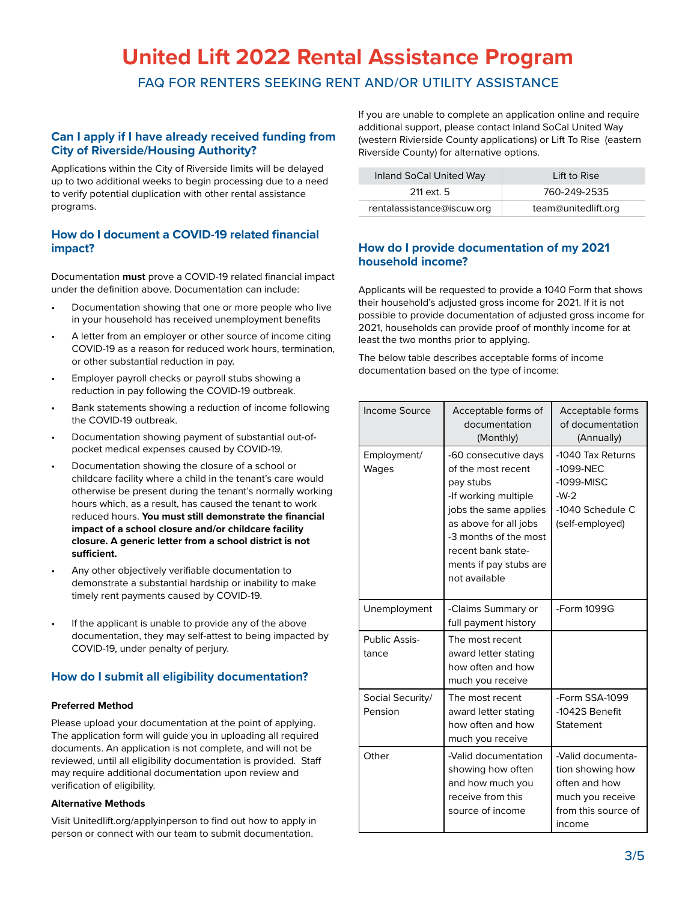FAQ FOR RENTERS SEEKING RENT AND/OR UTILITY ASSISTANCE

#### **Can I apply if I have already received funding from City of Riverside/Housing Authority?**

Applications within the City of Riverside limits will be delayed up to two additional weeks to begin processing due to a need to verify potential duplication with other rental assistance programs.

#### **How do I document a COVID-19 related financial impact?**

Documentation **must** prove a COVID-19 related financial impact under the definition above. Documentation can include:

- Documentation showing that one or more people who live in your household has received unemployment benefits
- A letter from an employer or other source of income citing COVID-19 as a reason for reduced work hours, termination, or other substantial reduction in pay.
- Employer payroll checks or payroll stubs showing a reduction in pay following the COVID-19 outbreak.
- Bank statements showing a reduction of income following the COVID-19 outbreak.
- Documentation showing payment of substantial out-ofpocket medical expenses caused by COVID-19.
- Documentation showing the closure of a school or childcare facility where a child in the tenant's care would otherwise be present during the tenant's normally working hours which, as a result, has caused the tenant to work reduced hours. **You must still demonstrate the financial impact of a school closure and/or childcare facility closure. A generic letter from a school district is not sufficient.**
- Any other objectively verifiable documentation to demonstrate a substantial hardship or inability to make timely rent payments caused by COVID-19.
- If the applicant is unable to provide any of the above documentation, they may self-attest to being impacted by COVID-19, under penalty of perjury.

#### **How do I submit all eligibility documentation?**

#### **Preferred Method**

Please upload your documentation at the point of applying. The application form will guide you in uploading all required documents. An application is not complete, and will not be reviewed, until all eligibility documentation is provided. Staff may require additional documentation upon review and verification of eligibility.

#### **Alternative Methods**

Visit Unitedlift.org/applyinperson to find out how to apply in person or connect with our team to submit documentation.

If you are unable to complete an application online and require additional support, please contact Inland SoCal United Way (western Rivierside County applications) or Lift To Rise (eastern Riverside County) for alternative options.

| Inland SoCal United Way    | Lift to Rise        |
|----------------------------|---------------------|
| 211 ext. 5                 | 760-249-2535        |
| rentalassistance@iscuw.org | team@unitedlift.org |

#### **How do I provide documentation of my 2021 household income?**

Applicants will be requested to provide a 1040 Form that shows their household's adjusted gross income for 2021. If it is not possible to provide documentation of adjusted gross income for 2021, households can provide proof of monthly income for at least the two months prior to applying.

The below table describes acceptable forms of income documentation based on the type of income:

| Income Source               | Acceptable forms of<br>documentation<br>(Monthly)                                                                                                                                                                           | Acceptable forms<br>of documentation<br>(Annually)                                                          |
|-----------------------------|-----------------------------------------------------------------------------------------------------------------------------------------------------------------------------------------------------------------------------|-------------------------------------------------------------------------------------------------------------|
| Employment/<br>Wages        | -60 consecutive days<br>of the most recent<br>pay stubs<br>-If working multiple<br>jobs the same applies<br>as above for all jobs<br>-3 months of the most<br>recent bank state-<br>ments if pay stubs are<br>not available | -1040 Tax Returns<br>-1099-NEC<br>$-1099-MISC$<br>$-W-2$<br>-1040 Schedule C<br>(self-employed)             |
| Unemployment                | -Claims Summary or<br>full payment history                                                                                                                                                                                  | -Form 1099G                                                                                                 |
| Public Assis-<br>tance      | The most recent<br>award letter stating<br>how often and how<br>much you receive                                                                                                                                            |                                                                                                             |
| Social Security/<br>Pension | The most recent<br>award letter stating<br>how often and how<br>much you receive                                                                                                                                            | -Form SSA-1099<br>-1042S Benefit<br>Statement                                                               |
| Other                       | -Valid documentation<br>showing how often<br>and how much you<br>receive from this<br>source of income                                                                                                                      | -Valid documenta-<br>tion showing how<br>often and how<br>much you receive<br>from this source of<br>income |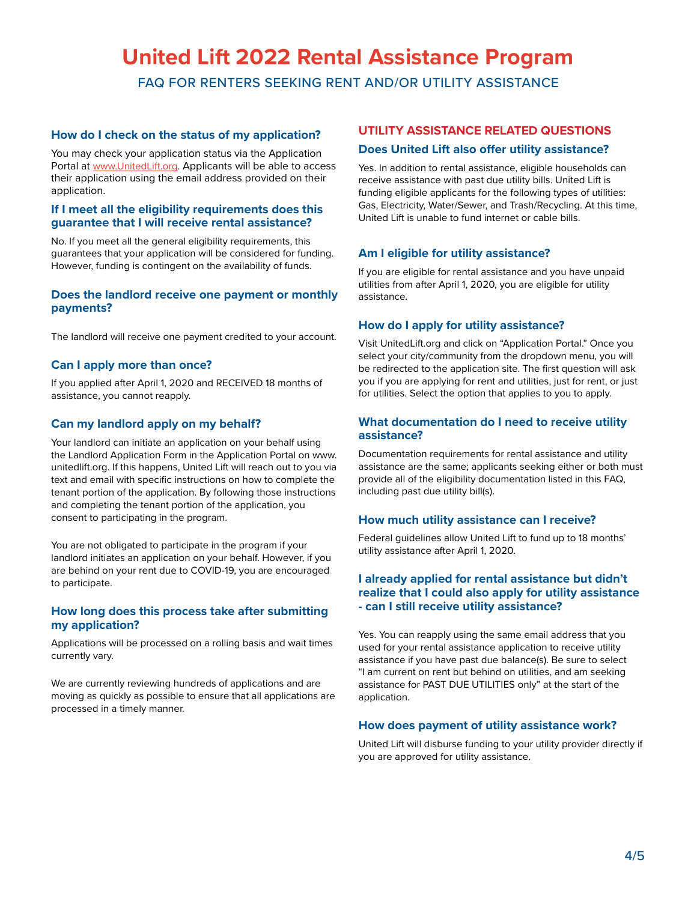FAQ FOR RENTERS SEEKING RENT AND/OR UTILITY ASSISTANCE

#### **How do I check on the status of my application?**

You may check your application status via the Application Portal at www.UnitedLift.org. Applicants will be able to access their application using the email address provided on their application.

#### **If I meet all the eligibility requirements does this guarantee that I will receive rental assistance?**

No. If you meet all the general eligibility requirements, this guarantees that your application will be considered for funding. However, funding is contingent on the availability of funds.

#### **Does the landlord receive one payment or monthly payments?**

The landlord will receive one payment credited to your account.

#### **Can I apply more than once?**

If you applied after April 1, 2020 and RECEIVED 18 months of assistance, you cannot reapply.

#### **Can my landlord apply on my behalf?**

Your landlord can initiate an application on your behalf using the Landlord Application Form in the Application Portal on www. unitedlift.org. If this happens, United Lift will reach out to you via text and email with specific instructions on how to complete the tenant portion of the application. By following those instructions and completing the tenant portion of the application, you consent to participating in the program.

You are not obligated to participate in the program if your landlord initiates an application on your behalf. However, if you are behind on your rent due to COVID-19, you are encouraged to participate.

#### **How long does this process take after submitting my application?**

Applications will be processed on a rolling basis and wait times currently vary.

We are currently reviewing hundreds of applications and are moving as quickly as possible to ensure that all applications are processed in a timely manner.

#### **UTILITY ASSISTANCE RELATED QUESTIONS Does United Lift also offer utility assistance?**

Yes. In addition to rental assistance, eligible households can receive assistance with past due utility bills. United Lift is funding eligible applicants for the following types of utilities: Gas, Electricity, Water/Sewer, and Trash/Recycling. At this time, United Lift is unable to fund internet or cable bills.

#### **Am I eligible for utility assistance?**

If you are eligible for rental assistance and you have unpaid utilities from after April 1, 2020, you are eligible for utility assistance.

#### **How do I apply for utility assistance?**

Visit UnitedLift.org and click on "Application Portal." Once you select your city/community from the dropdown menu, you will be redirected to the application site. The first question will ask you if you are applying for rent and utilities, just for rent, or just for utilities. Select the option that applies to you to apply.

#### **What documentation do I need to receive utility assistance?**

Documentation requirements for rental assistance and utility assistance are the same; applicants seeking either or both must provide all of the eligibility documentation listed in this FAQ, including past due utility bill(s).

#### **How much utility assistance can I receive?**

Federal guidelines allow United Lift to fund up to 18 months' utility assistance after April 1, 2020.

#### **I already applied for rental assistance but didn't realize that I could also apply for utility assistance - can I still receive utility assistance?**

Yes. You can reapply using the same email address that you used for your rental assistance application to receive utility assistance if you have past due balance(s). Be sure to select "I am current on rent but behind on utilities, and am seeking assistance for PAST DUE UTILITIES only" at the start of the application.

#### **How does payment of utility assistance work?**

United Lift will disburse funding to your utility provider directly if you are approved for utility assistance.